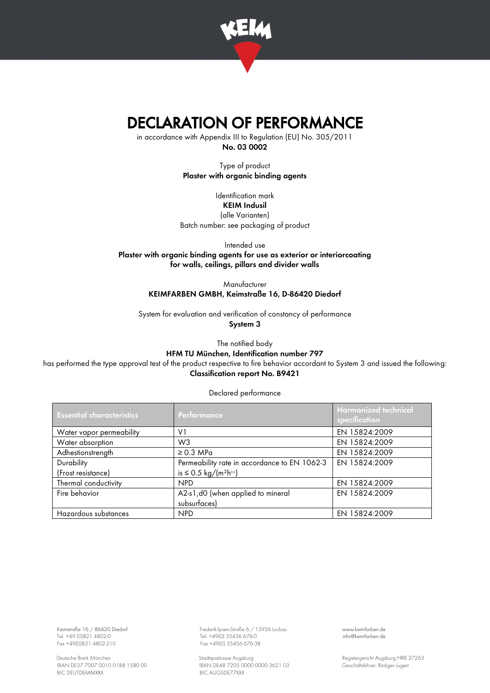

## DECLARATION OF PERFORMANCE

in accordance with Appendix III to Regulation (EU) No. 305/2011 No. 03 0002

> Type of product Plaster with organic binding agents

Identification mark KEIM Indusil (alle Varianten) Batch number: see packaging of product

Intended use Plaster with organic binding agents for use as exterior or interiorcoating for walls, ceilings, pillars and divider walls

> Manufacturer KEIMFARBEN GMBH, Keimstraße 16, D-86420 Diedorf

System for evaluation and verification of constancy of performance System 3

> The notified body HFM TU München, Identification number 797

has performed the type approval test of the product respective to fire behavior accordant to System 3 and issued the following: Classification report No. B9421

Declared performance

| <b>Essential characteristics</b> | Performance                                    | <b>Harmonized technical</b><br>specification |
|----------------------------------|------------------------------------------------|----------------------------------------------|
| Water vapor permeability         | V <sub>1</sub>                                 | EN 15824:2009                                |
| Water absorption                 | W <sub>3</sub>                                 | EN 15824:2009                                |
| Adhestionstrength                | $\geq$ 0.3 MPa                                 | EN 15824:2009                                |
| Durability                       | Permeability rate in accordance to EN 1062-3   | EN 15824:2009                                |
| (Frost resistance)               | is ≤ 0.5 kg/(m <sup>2</sup> h <sup>o,s</sup> ) |                                              |
| Thermal conductivity             | <b>NPD</b>                                     | EN 15824:2009                                |
| Fire behavior                    | A2-s1,d0 (when applied to mineral              | EN 15824:2009                                |
|                                  | subsurfaces)                                   |                                              |
| Hazardous substances             | <b>NPD</b>                                     | EN 15824:2009                                |

Keimstraße 16 / 86420 Diedorf Frederik-Ipsen-Straße 6 / 15926 Luckau [www.keimfarben.de](http://www.keimfarben.de/)

Tel. +49 (0)821 4802-0 Tel. +49(0) 35456 676-0 [info@keimfarben.de](mailto:info@keimfarben.de) Fax +49(0) 35456 676-38

Deutsche Bank München Stadtsparkasse Augsburg (1998) Stadtsparkasse Augsburg (1999) Registergericht Augsburg HRB 27263<br>IBAN DE37 7007 0010 0188 1580 00 (IBAN DE48 7205 0000 0000 3621 03 (Geschäftsführer: Rüdiger Lugert IBAN DE48 7205 0000 0000 3621 03 Geschäftsführer: Rüdiger Lugert<br>BIC AUGSDE77XXX